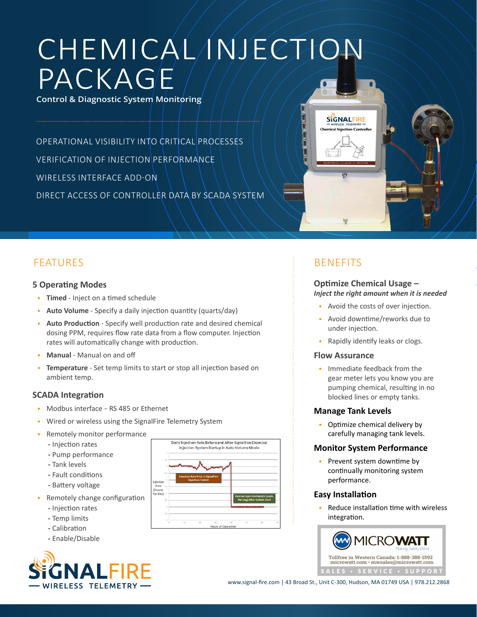# CHEMICAL INJECTION PACKAGE

**Control & Diagnostic System Monitoring**

OPERATIONAL VISIBILITY INTO CRITICAL PROCESSES VERIFICATION OF INJECTION PERFORMANCE WIRELESS INTERFACE ADD-ON DIRECT ACCESS OF CONTROLLER DATA BY SCADA SYSTEM



### **5 Operating Modes**

- **Timed** Inject on a timed schedule
- **Auto Volume** Specify a daily injection quantity (quarts/day)
- **Auto Production** Specify well production rate and desired chemical dosing PPM, requires flow rate data from a flow computer. Injection rates will automatically change with production.
- **Manual** Manual on and off
- **Temperature** Set temp limits to start or stop all injection based on ambient temp.

### **SCADA Integration**

- Modbus interface RS 485 or Ethernet
- Wired or wireless using the SignalFire Telemetry System
- Remotely monitor performance
	- **-** Injection rates
	- **-** Pump performance
	- **-** Tank levels
	- **-** Fault conditions
	- **-** Battery voltage
- Remotely change configuration
	- **-** Injection rates
	- **-** Temp limits
	- **-** Calibration
	- **-** Enable/Disable





**SIGNALFIRE** 

# BENEFITS

### **Optimize Chemical Usage –** *Inject the right amount when it is needed*

- Avoid the costs of over injection.
- Avoid downtime/reworks due to under injection.
- Rapidly identify leaks or clogs.

### **Flow Assurance**

• Immediate feedback from the gear meter lets you know you are pumping chemical, resulting in no blocked lines or empty tanks.

### **Manage Tank Levels**

• Optimize chemical delivery by carefully managing tank levels.

### **Monitor System Performance**

• Prevent system downtime by continually monitoring system performance.

### **Easy Installation**

• Reduce installation time with wireless integration.



www.signal-fire.com | 43 Broad St., Unit C-300, Hudson, MA 01749 USA | 978.212.2868